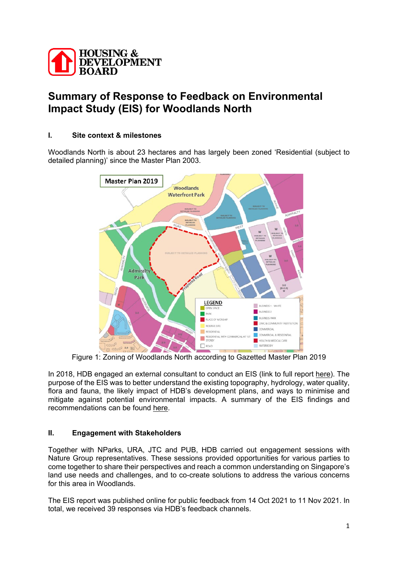

# **Summary of Response to Feedback on Environmental Impact Study (EIS) for Woodlands North**

# **I. Site context & milestones**

Woodlands North is about 23 hectares and has largely been zoned 'Residential (subject to detailed planning)' since the Master Plan 2003.



Figure 1: Zoning of Woodlands North according to Gazetted Master Plan 2019

In 2018, HDB engaged an external consultant to conduct an EIS (link to full report [here\)](https://www.hdb.gov.sg/cs/infoweb/-/media/doc/RPG/Woodlands-North-EIS-Report.pdf?la=en&hash=5094224722A0B6D2243628E41B1E39EDC2424DF6). The purpose of the EIS was to better understand the existing topography, hydrology, water quality, flora and fauna, the likely impact of HDB's development plans, and ways to minimise and mitigate against potential environmental impacts. A summary of the EIS findings and recommendations can be found [here.](https://www.hdb.gov.sg/cs/infoweb/-/media/doc/RPG/Woodlands-North-Report-Executive-Summary.pdf?la=en&hash=D2ED9950A32EE482704F94BA77C59DFDD57E4F3A)

## **II. Engagement with Stakeholders**

Together with NParks, URA, JTC and PUB, HDB carried out engagement sessions with Nature Group representatives. These sessions provided opportunities for various parties to come together to share their perspectives and reach a common understanding on Singapore's land use needs and challenges, and to co-create solutions to address the various concerns for this area in Woodlands.

The EIS report was published online for public feedback from 14 Oct 2021 to 11 Nov 2021. In total, we received 39 responses via HDB's feedback channels.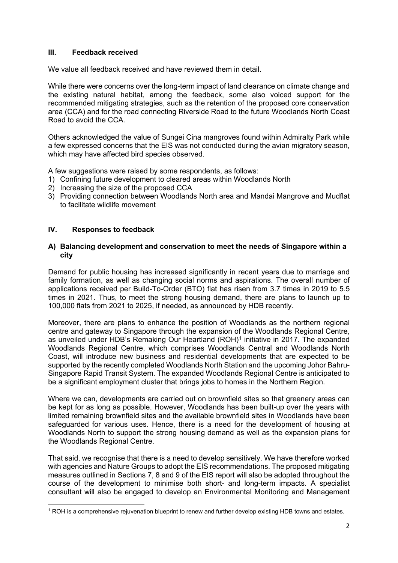## **III. Feedback received**

We value all feedback received and have reviewed them in detail.

While there were concerns over the long-term impact of land clearance on climate change and the existing natural habitat, among the feedback, some also voiced support for the recommended mitigating strategies, such as the retention of the proposed core conservation area (CCA) and for the road connecting Riverside Road to the future Woodlands North Coast Road to avoid the CCA.

Others acknowledged the value of Sungei Cina mangroves found within Admiralty Park while a few expressed concerns that the EIS was not conducted during the avian migratory season, which may have affected bird species observed.

A few suggestions were raised by some respondents, as follows:

- 1) Confining future development to cleared areas within Woodlands North
- 2) Increasing the size of the proposed CCA
- 3) Providing connection between Woodlands North area and Mandai Mangrove and Mudflat to facilitate wildlife movement

# **IV. Responses to feedback**

#### **A) Balancing development and conservation to meet the needs of Singapore within a city**

Demand for public housing has increased significantly in recent years due to marriage and family formation, as well as changing social norms and aspirations. The overall number of applications received per Build-To-Order (BTO) flat has risen from 3.7 times in 2019 to 5.5 times in 2021. Thus, to meet the strong housing demand, there are plans to launch up to 100,000 flats from 2021 to 2025, if needed, as announced by HDB recently.

Moreover, there are plans to enhance the position of Woodlands as the northern regional centre and gateway to Singapore through the expansion of the Woodlands Regional Centre, as unveiled under HDB's Remaking Our Heartland (ROH)[1](#page-1-0) initiative in 2017. The expanded Woodlands Regional Centre, which comprises Woodlands Central and Woodlands North Coast, will introduce new business and residential developments that are expected to be supported by the recently completed Woodlands North Station and the upcoming Johor Bahru-Singapore Rapid Transit System. The expanded Woodlands Regional Centre is anticipated to be a significant employment cluster that brings jobs to homes in the Northern Region.

Where we can, developments are carried out on brownfield sites so that greenery areas can be kept for as long as possible. However, Woodlands has been built-up over the years with limited remaining brownfield sites and the available brownfield sites in Woodlands have been safeguarded for various uses. Hence, there is a need for the development of housing at Woodlands North to support the strong housing demand as well as the expansion plans for the Woodlands Regional Centre.

That said, we recognise that there is a need to develop sensitively. We have therefore worked with agencies and Nature Groups to adopt the EIS recommendations. The proposed mitigating measures outlined in Sections 7, 8 and 9 of the EIS report will also be adopted throughout the course of the development to minimise both short- and long-term impacts. A specialist consultant will also be engaged to develop an Environmental Monitoring and Management

<span id="page-1-0"></span><sup>1</sup> ROH is a comprehensive rejuvenation blueprint to renew and further develop existing HDB towns and estates.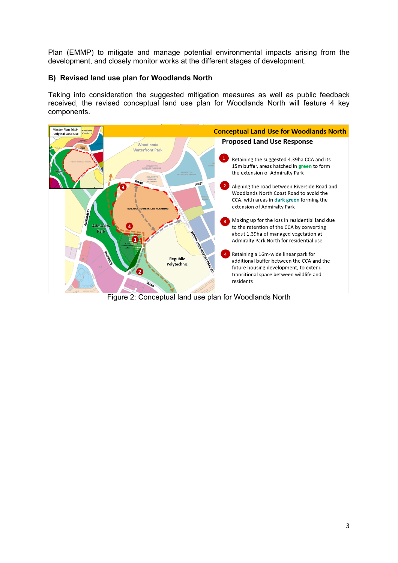Plan (EMMP) to mitigate and manage potential environmental impacts arising from the development, and closely monitor works at the different stages of development.

## **B) Revised land use plan for Woodlands North**

Taking into consideration the suggested mitigation measures as well as public feedback received, the revised conceptual land use plan for Woodlands North will feature 4 key components.

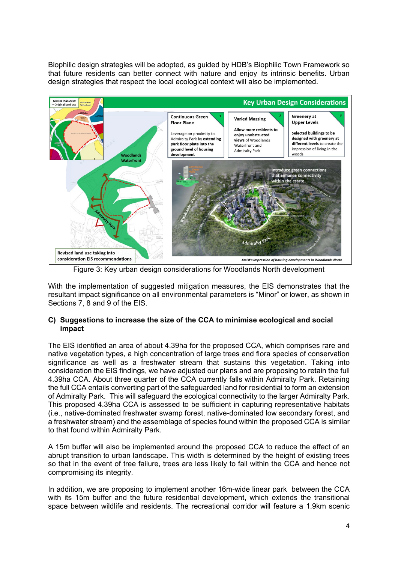Biophilic design strategies will be adopted, as guided by HDB's Biophilic Town Framework so that future residents can better connect with nature and enjoy its intrinsic benefits. Urban design strategies that respect the local ecological context will also be implemented.



Figure 3: Key urban design considerations for Woodlands North development

With the implementation of suggested mitigation measures, the EIS demonstrates that the resultant impact significance on all environmental parameters is "Minor" or lower, as shown in Sections 7, 8 and 9 of the EIS.

## **C) Suggestions to increase the size of the CCA to minimise ecological and social impact**

The EIS identified an area of about 4.39ha for the proposed CCA, which comprises rare and native vegetation types, a high concentration of large trees and flora species of conservation significance as well as a freshwater stream that sustains this vegetation. Taking into consideration the EIS findings, we have adjusted our plans and are proposing to retain the full 4.39ha CCA. About three quarter of the CCA currently falls within Admiralty Park. Retaining the full CCA entails converting part of the safeguarded land for residential to form an extension of Admiralty Park. This will safeguard the ecological connectivity to the larger Admiralty Park. This proposed 4.39ha CCA is assessed to be sufficient in capturing representative habitats (i.e., native-dominated freshwater swamp forest, native-dominated low secondary forest, and a freshwater stream) and the assemblage of species found within the proposed CCA is similar to that found within Admiralty Park.

A 15m buffer will also be implemented around the proposed CCA to reduce the effect of an abrupt transition to urban landscape. This width is determined by the height of existing trees so that in the event of tree failure, trees are less likely to fall within the CCA and hence not compromising its integrity.

In addition, we are proposing to implement another 16m-wide linear park between the CCA with its 15m buffer and the future residential development, which extends the transitional space between wildlife and residents. The recreational corridor will feature a 1.9km scenic